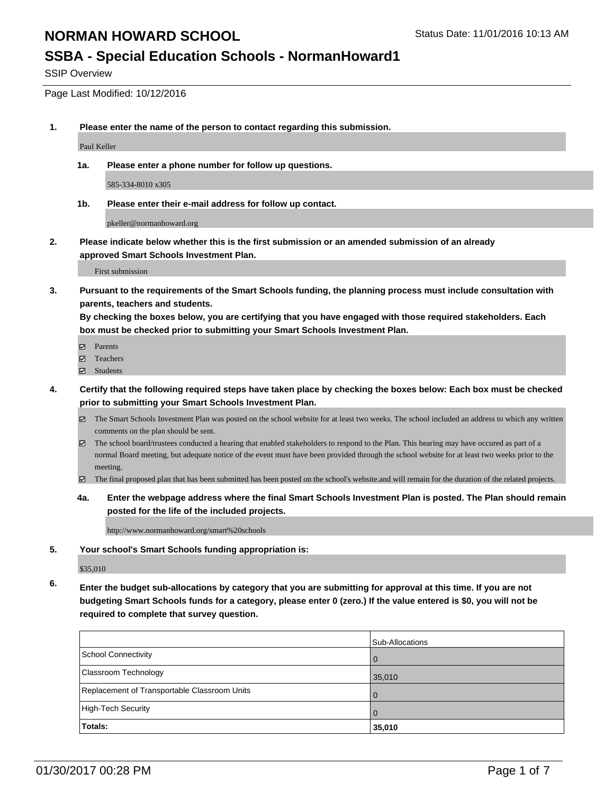# **NORMAN HOWARD SCHOOL** STATUS Status Date: 11/01/2016 10:13 AM

## **SSBA - Special Education Schools - NormanHoward1**

SSIP Overview

### Page Last Modified: 10/12/2016

**1. Please enter the name of the person to contact regarding this submission.**

Paul Keller

**1a. Please enter a phone number for follow up questions.**

585-334-8010 x305

**1b. Please enter their e-mail address for follow up contact.**

pkeller@normanhoward.org

**2. Please indicate below whether this is the first submission or an amended submission of an already approved Smart Schools Investment Plan.**

First submission

**3. Pursuant to the requirements of the Smart Schools funding, the planning process must include consultation with parents, teachers and students.**

**By checking the boxes below, you are certifying that you have engaged with those required stakeholders. Each box must be checked prior to submitting your Smart Schools Investment Plan.**

- Parents
- Teachers
- Students
- **4. Certify that the following required steps have taken place by checking the boxes below: Each box must be checked prior to submitting your Smart Schools Investment Plan.**
	- The Smart Schools Investment Plan was posted on the school website for at least two weeks. The school included an address to which any written comments on the plan should be sent.
	- $\boxtimes$  The school board/trustees conducted a hearing that enabled stakeholders to respond to the Plan. This hearing may have occured as part of a normal Board meeting, but adequate notice of the event must have been provided through the school website for at least two weeks prior to the meeting.
	- The final proposed plan that has been submitted has been posted on the school's website.and will remain for the duration of the related projects.
	- **4a. Enter the webpage address where the final Smart Schools Investment Plan is posted. The Plan should remain posted for the life of the included projects.**

http://www.normanhoward.org/smart%20schools

**5. Your school's Smart Schools funding appropriation is:**

\$35,010

**6. Enter the budget sub-allocations by category that you are submitting for approval at this time. If you are not budgeting Smart Schools funds for a category, please enter 0 (zero.) If the value entered is \$0, you will not be required to complete that survey question.**

|                                              | Sub-Allocations |
|----------------------------------------------|-----------------|
| School Connectivity                          | $\Omega$        |
| <b>Classroom Technology</b>                  | 35,010          |
| Replacement of Transportable Classroom Units | $\Omega$        |
| High-Tech Security                           | $\Omega$        |
| <b>Totals:</b>                               | 35,010          |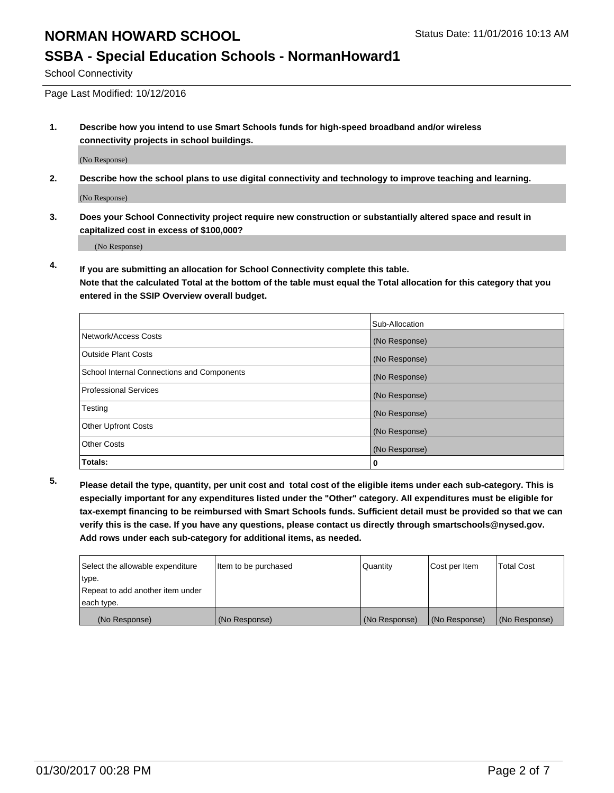# **NORMAN HOWARD SCHOOL** STATUS STATUS Status Date: 11/01/2016 10:13 AM

## **SSBA - Special Education Schools - NormanHoward1**

School Connectivity

Page Last Modified: 10/12/2016

**1. Describe how you intend to use Smart Schools funds for high-speed broadband and/or wireless connectivity projects in school buildings.**

(No Response)

**2. Describe how the school plans to use digital connectivity and technology to improve teaching and learning.**

(No Response)

**3. Does your School Connectivity project require new construction or substantially altered space and result in capitalized cost in excess of \$100,000?**

(No Response)

**4. If you are submitting an allocation for School Connectivity complete this table. Note that the calculated Total at the bottom of the table must equal the Total allocation for this category that you entered in the SSIP Overview overall budget.** 

|                                            | Sub-Allocation |
|--------------------------------------------|----------------|
| Network/Access Costs                       | (No Response)  |
| <b>Outside Plant Costs</b>                 | (No Response)  |
| School Internal Connections and Components | (No Response)  |
| Professional Services                      | (No Response)  |
| Testing                                    | (No Response)  |
| <b>Other Upfront Costs</b>                 | (No Response)  |
| <b>Other Costs</b>                         | (No Response)  |
| Totals:                                    | o              |

**5. Please detail the type, quantity, per unit cost and total cost of the eligible items under each sub-category. This is especially important for any expenditures listed under the "Other" category. All expenditures must be eligible for tax-exempt financing to be reimbursed with Smart Schools funds. Sufficient detail must be provided so that we can verify this is the case. If you have any questions, please contact us directly through smartschools@nysed.gov. Add rows under each sub-category for additional items, as needed.**

| Select the allowable expenditure | Item to be purchased | Quantity      | Cost per Item | <b>Total Cost</b> |
|----------------------------------|----------------------|---------------|---------------|-------------------|
| type.                            |                      |               |               |                   |
| Repeat to add another item under |                      |               |               |                   |
| each type.                       |                      |               |               |                   |
| (No Response)                    | (No Response)        | (No Response) | (No Response) | (No Response)     |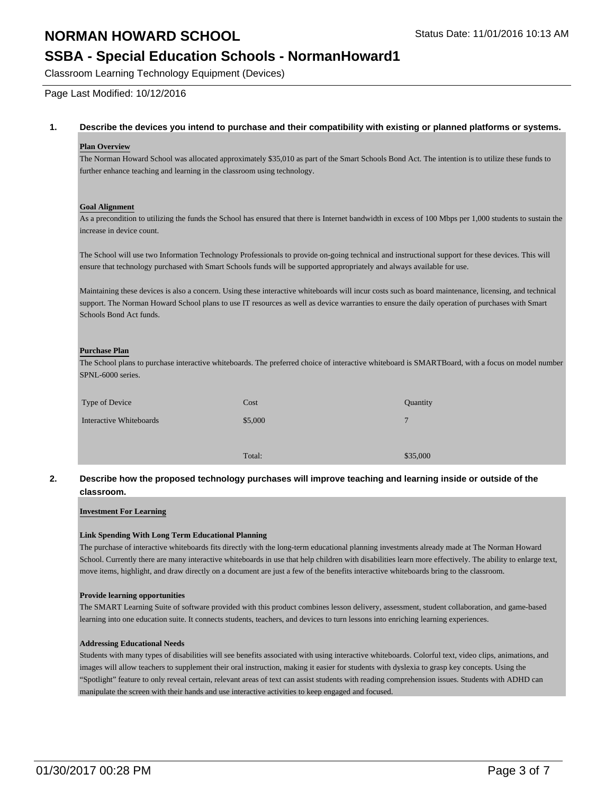## **NORMAN HOWARD SCHOOL** STATUS STATUS Status Date: 11/01/2016 10:13 AM

## **SSBA - Special Education Schools - NormanHoward1**

Classroom Learning Technology Equipment (Devices)

Page Last Modified: 10/12/2016

### **1. Describe the devices you intend to purchase and their compatibility with existing or planned platforms or systems.**

### **Plan Overview**

The Norman Howard School was allocated approximately \$35,010 as part of the Smart Schools Bond Act. The intention is to utilize these funds to further enhance teaching and learning in the classroom using technology.

### **Goal Alignment**

As a precondition to utilizing the funds the School has ensured that there is Internet bandwidth in excess of 100 Mbps per 1,000 students to sustain the increase in device count.

The School will use two Information Technology Professionals to provide on-going technical and instructional support for these devices. This will ensure that technology purchased with Smart Schools funds will be supported appropriately and always available for use.

Maintaining these devices is also a concern. Using these interactive whiteboards will incur costs such as board maintenance, licensing, and technical support. The Norman Howard School plans to use IT resources as well as device warranties to ensure the daily operation of purchases with Smart Schools Bond Act funds.

### **Purchase Plan**

The School plans to purchase interactive whiteboards. The preferred choice of interactive whiteboard is SMARTBoard, with a focus on model number SPNL-6000 series.

| Type of Device          | Cost    | Quantity     |
|-------------------------|---------|--------------|
| Interactive Whiteboards | \$5,000 | $\mathbf{7}$ |
|                         |         |              |
|                         | Total:  | \$35,000     |

### **2. Describe how the proposed technology purchases will improve teaching and learning inside or outside of the classroom.**

### **Investment For Learning**

### **Link Spending With Long Term Educational Planning**

The purchase of interactive whiteboards fits directly with the long-term educational planning investments already made at The Norman Howard School. Currently there are many interactive whiteboards in use that help children with disabilities learn more effectively. The ability to enlarge text, move items, highlight, and draw directly on a document are just a few of the benefits interactive whiteboards bring to the classroom.

### **Provide learning opportunities**

The SMART Learning Suite of software provided with this product combines lesson delivery, assessment, student collaboration, and game-based learning into one education suite. It connects students, teachers, and devices to turn lessons into enriching learning experiences.

### **Addressing Educational Needs**

Students with many types of disabilities will see benefits associated with using interactive whiteboards. Colorful text, video clips, animations, and images will allow teachers to supplement their oral instruction, making it easier for students with dyslexia to grasp key concepts. Using the "Spotlight" feature to only reveal certain, relevant areas of text can assist students with reading comprehension issues. Students with ADHD can manipulate the screen with their hands and use interactive activities to keep engaged and focused.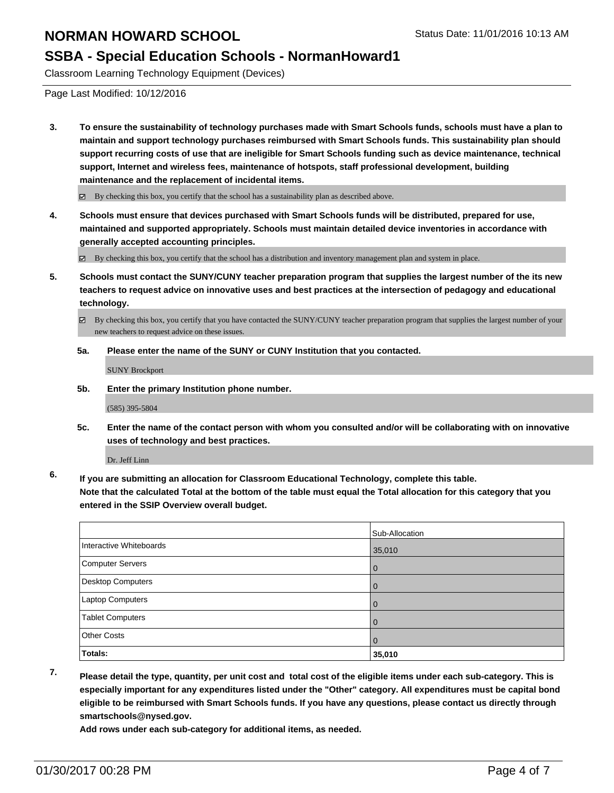## **SSBA - Special Education Schools - NormanHoward1**

Classroom Learning Technology Equipment (Devices)

Page Last Modified: 10/12/2016

**3. To ensure the sustainability of technology purchases made with Smart Schools funds, schools must have a plan to maintain and support technology purchases reimbursed with Smart Schools funds. This sustainability plan should support recurring costs of use that are ineligible for Smart Schools funding such as device maintenance, technical support, Internet and wireless fees, maintenance of hotspots, staff professional development, building maintenance and the replacement of incidental items.**

 $\boxtimes$  By checking this box, you certify that the school has a sustainability plan as described above.

**4. Schools must ensure that devices purchased with Smart Schools funds will be distributed, prepared for use, maintained and supported appropriately. Schools must maintain detailed device inventories in accordance with generally accepted accounting principles.**

By checking this box, you certify that the school has a distribution and inventory management plan and system in place.

**5. Schools must contact the SUNY/CUNY teacher preparation program that supplies the largest number of the its new teachers to request advice on innovative uses and best practices at the intersection of pedagogy and educational technology.**

By checking this box, you certify that you have contacted the SUNY/CUNY teacher preparation program that supplies the largest number of your new teachers to request advice on these issues.

**5a. Please enter the name of the SUNY or CUNY Institution that you contacted.**

SUNY Brockport

**5b. Enter the primary Institution phone number.**

(585) 395-5804

**5c. Enter the name of the contact person with whom you consulted and/or will be collaborating with on innovative uses of technology and best practices.**

Dr. Jeff Linn

**6. If you are submitting an allocation for Classroom Educational Technology, complete this table. Note that the calculated Total at the bottom of the table must equal the Total allocation for this category that you entered in the SSIP Overview overall budget.**

|                          | Sub-Allocation |
|--------------------------|----------------|
| Interactive Whiteboards  | 35,010         |
| Computer Servers         | l 0            |
| <b>Desktop Computers</b> | l 0            |
| Laptop Computers         | $\overline{0}$ |
| <b>Tablet Computers</b>  | $\Omega$       |
| <b>Other Costs</b>       | $\overline{0}$ |
| Totals:                  | 35,010         |

**7. Please detail the type, quantity, per unit cost and total cost of the eligible items under each sub-category. This is especially important for any expenditures listed under the "Other" category. All expenditures must be capital bond eligible to be reimbursed with Smart Schools funds. If you have any questions, please contact us directly through smartschools@nysed.gov.**

**Add rows under each sub-category for additional items, as needed.**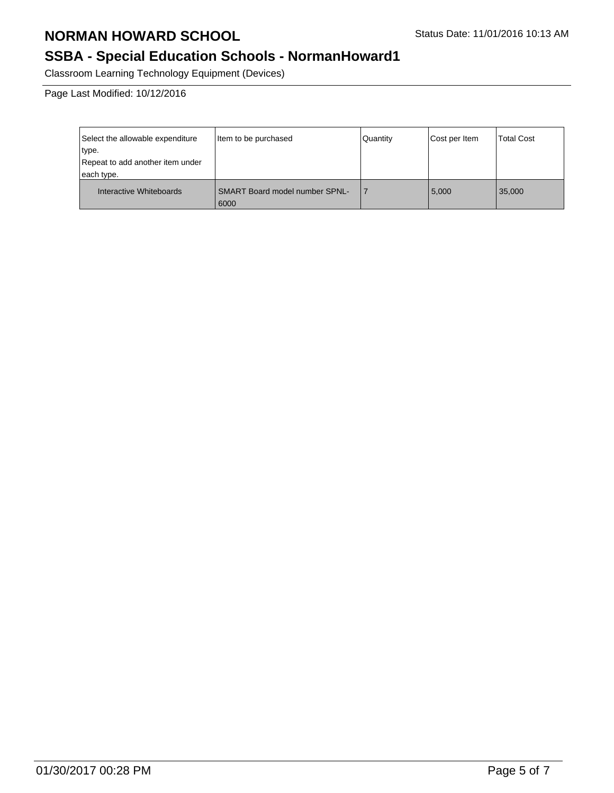# **SSBA - Special Education Schools - NormanHoward1**

Classroom Learning Technology Equipment (Devices)

Page Last Modified: 10/12/2016

| Select the allowable expenditure<br>type.<br>Repeat to add another item under<br>each type. | Item to be purchased                          | Quantity | Cost per Item | <b>Total Cost</b> |
|---------------------------------------------------------------------------------------------|-----------------------------------------------|----------|---------------|-------------------|
| Interactive Whiteboards                                                                     | <b>SMART Board model number SPNL-</b><br>6000 |          | 5,000         | 35,000            |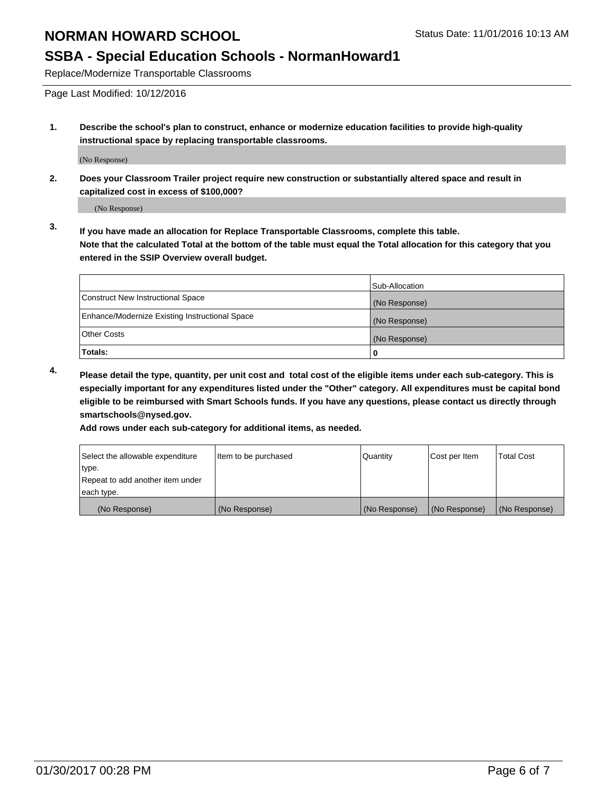## **SSBA - Special Education Schools - NormanHoward1**

Replace/Modernize Transportable Classrooms

Page Last Modified: 10/12/2016

**1. Describe the school's plan to construct, enhance or modernize education facilities to provide high-quality instructional space by replacing transportable classrooms.**

(No Response)

**2. Does your Classroom Trailer project require new construction or substantially altered space and result in capitalized cost in excess of \$100,000?**

(No Response)

**3. If you have made an allocation for Replace Transportable Classrooms, complete this table. Note that the calculated Total at the bottom of the table must equal the Total allocation for this category that you entered in the SSIP Overview overall budget.**

|                                                | Sub-Allocation |
|------------------------------------------------|----------------|
| Construct New Instructional Space              | (No Response)  |
| Enhance/Modernize Existing Instructional Space | (No Response)  |
| Other Costs                                    | (No Response)  |
| Totals:                                        |                |

**4. Please detail the type, quantity, per unit cost and total cost of the eligible items under each sub-category. This is especially important for any expenditures listed under the "Other" category. All expenditures must be capital bond eligible to be reimbursed with Smart Schools funds. If you have any questions, please contact us directly through smartschools@nysed.gov.**

**Add rows under each sub-category for additional items, as needed.**

| Select the allowable expenditure | Item to be purchased | Quantity      | Cost per Item | <b>Total Cost</b> |
|----------------------------------|----------------------|---------------|---------------|-------------------|
| ∣type.                           |                      |               |               |                   |
| Repeat to add another item under |                      |               |               |                   |
| each type.                       |                      |               |               |                   |
| (No Response)                    | (No Response)        | (No Response) | (No Response) | (No Response)     |